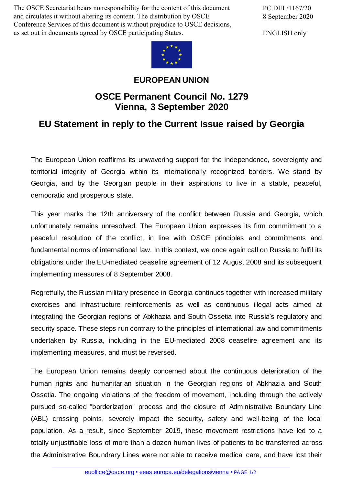The OSCE Secretariat bears no responsibility for the content of this document and circulates it without altering its content. The distribution by OSCE Conference Services of this document is without prejudice to OSCE decisions, as set out in documents agreed by OSCE participating States.

PC.DEL/1167/20 8 September 2020

ENGLISH only



## **EUROPEAN UNION**

## **OSCE Permanent Council No. 1279 Vienna, 3 September 2020**

## **EU Statement in reply to the Current Issue raised by Georgia**

The European Union reaffirms its unwavering support for the independence, sovereignty and territorial integrity of Georgia within its internationally recognized borders. We stand by Georgia, and by the Georgian people in their aspirations to live in a stable, peaceful, democratic and prosperous state.

This year marks the 12th anniversary of the conflict between Russia and Georgia, which unfortunately remains unresolved. The European Union expresses its firm commitment to a peaceful resolution of the conflict, in line with OSCE principles and commitments and fundamental norms of international law. In this context, we once again call on Russia to fulfil its obligations under the EU-mediated ceasefire agreement of 12 August 2008 and its subsequent implementing measures of 8 September 2008.

Regretfully, the Russian military presence in Georgia continues together with increased military exercises and infrastructure reinforcements as well as continuous illegal acts aimed at integrating the Georgian regions of Abkhazia and South Ossetia into Russia's regulatory and security space. These steps run contrary to the principles of international law and commitments undertaken by Russia, including in the EU-mediated 2008 ceasefire agreement and its implementing measures, and must be reversed.

The European Union remains deeply concerned about the continuous deterioration of the human rights and humanitarian situation in the Georgian regions of Abkhazia and South Ossetia. The ongoing violations of the freedom of movement, including through the actively pursued so-called "borderization" process and the closure of Administrative Boundary Line (ABL) crossing points, severely impact the security, safety and well-being of the local population. As a result, since September 2019, these movement restrictions have led to a totally unjustifiable loss of more than a dozen human lives of patients to be transferred across the Administrative [Boundrary](mailto:euoffice@osce.org) Lines were not able to [receive](http://eeas.europa.eu/delegations/vienna) medical care, and have lost their